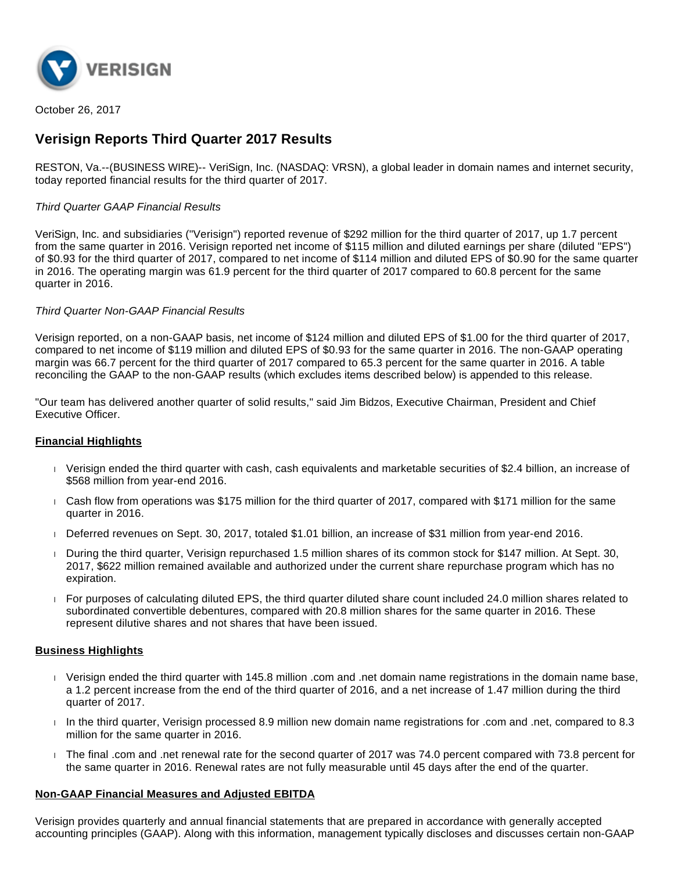

October 26, 2017

# **Verisign Reports Third Quarter 2017 Results**

RESTON, Va.--(BUSINESS WIRE)-- VeriSign, Inc. (NASDAQ: VRSN), a global leader in domain names and internet security, today reported financial results for the third quarter of 2017.

#### Third Quarter GAAP Financial Results

VeriSign, Inc. and subsidiaries ("Verisign") reported revenue of \$292 million for the third quarter of 2017, up 1.7 percent from the same quarter in 2016. Verisign reported net income of \$115 million and diluted earnings per share (diluted "EPS") of \$0.93 for the third quarter of 2017, compared to net income of \$114 million and diluted EPS of \$0.90 for the same quarter in 2016. The operating margin was 61.9 percent for the third quarter of 2017 compared to 60.8 percent for the same quarter in 2016.

#### Third Quarter Non-GAAP Financial Results

Verisign reported, on a non-GAAP basis, net income of \$124 million and diluted EPS of \$1.00 for the third quarter of 2017, compared to net income of \$119 million and diluted EPS of \$0.93 for the same quarter in 2016. The non-GAAP operating margin was 66.7 percent for the third quarter of 2017 compared to 65.3 percent for the same quarter in 2016. A table reconciling the GAAP to the non-GAAP results (which excludes items described below) is appended to this release.

"Our team has delivered another quarter of solid results," said Jim Bidzos, Executive Chairman, President and Chief Executive Officer.

#### **Financial Highlights**

- Verisign ended the third quarter with cash, cash equivalents and marketable securities of \$2.4 billion, an increase of \$568 million from year-end 2016.
- Cash flow from operations was \$175 million for the third quarter of 2017, compared with \$171 million for the same quarter in 2016.
- Deferred revenues on Sept. 30, 2017, totaled \$1.01 billion, an increase of \$31 million from year-end 2016.
- During the third quarter, Verisign repurchased 1.5 million shares of its common stock for \$147 million. At Sept. 30, 2017, \$622 million remained available and authorized under the current share repurchase program which has no expiration.
- For purposes of calculating diluted EPS, the third quarter diluted share count included 24.0 million shares related to subordinated convertible debentures, compared with 20.8 million shares for the same quarter in 2016. These represent dilutive shares and not shares that have been issued.

#### **Business Highlights**

- Verisign ended the third quarter with 145.8 million .com and .net domain name registrations in the domain name base, a 1.2 percent increase from the end of the third quarter of 2016, and a net increase of 1.47 million during the third quarter of 2017.
- In the third quarter, Verisign processed 8.9 million new domain name registrations for .com and .net, compared to 8.3 million for the same quarter in 2016.
- The final .com and .net renewal rate for the second quarter of 2017 was 74.0 percent compared with 73.8 percent for the same quarter in 2016. Renewal rates are not fully measurable until 45 days after the end of the quarter.

#### **Non-GAAP Financial Measures and Adjusted EBITDA**

Verisign provides quarterly and annual financial statements that are prepared in accordance with generally accepted accounting principles (GAAP). Along with this information, management typically discloses and discusses certain non-GAAP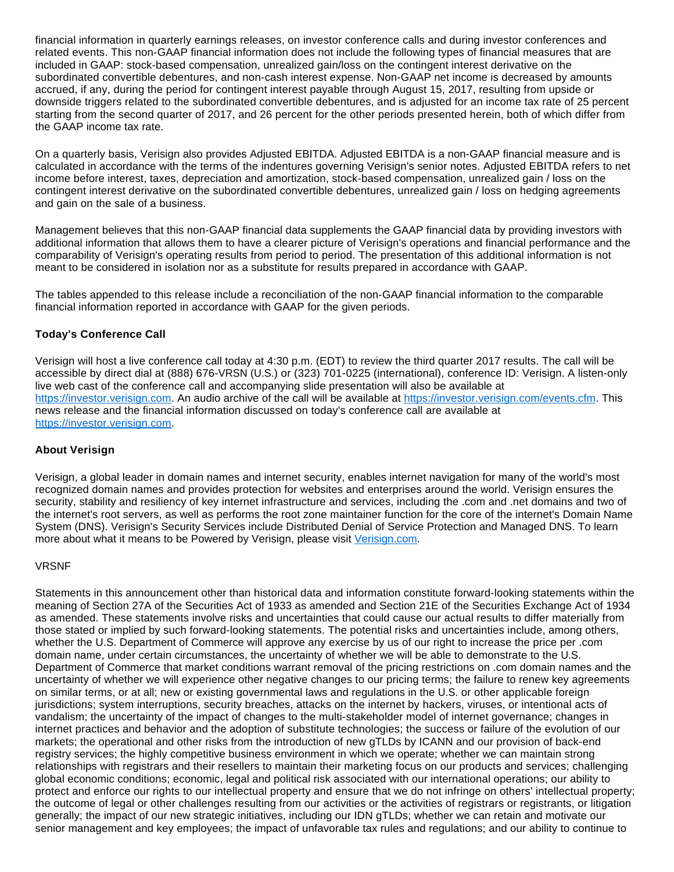financial information in quarterly earnings releases, on investor conference calls and during investor conferences and related events. This non-GAAP financial information does not include the following types of financial measures that are included in GAAP: stock-based compensation, unrealized gain/loss on the contingent interest derivative on the subordinated convertible debentures, and non-cash interest expense. Non-GAAP net income is decreased by amounts accrued, if any, during the period for contingent interest payable through August 15, 2017, resulting from upside or downside triggers related to the subordinated convertible debentures, and is adjusted for an income tax rate of 25 percent starting from the second quarter of 2017, and 26 percent for the other periods presented herein, both of which differ from the GAAP income tax rate.

On a quarterly basis, Verisign also provides Adjusted EBITDA. Adjusted EBITDA is a non-GAAP financial measure and is calculated in accordance with the terms of the indentures governing Verisign's senior notes. Adjusted EBITDA refers to net income before interest, taxes, depreciation and amortization, stock-based compensation, unrealized gain / loss on the contingent interest derivative on the subordinated convertible debentures, unrealized gain / loss on hedging agreements and gain on the sale of a business.

Management believes that this non-GAAP financial data supplements the GAAP financial data by providing investors with additional information that allows them to have a clearer picture of Verisign's operations and financial performance and the comparability of Verisign's operating results from period to period. The presentation of this additional information is not meant to be considered in isolation nor as a substitute for results prepared in accordance with GAAP.

The tables appended to this release include a reconciliation of the non-GAAP financial information to the comparable financial information reported in accordance with GAAP for the given periods.

## **Today's Conference Call**

Verisign will host a live conference call today at 4:30 p.m. (EDT) to review the third quarter 2017 results. The call will be accessible by direct dial at (888) 676-VRSN (U.S.) or (323) 701-0225 (international), conference ID: Verisign. A listen-only live web cast of the conference call and accompanying slide presentation will also be available at [https://investor.verisign.com.](http://cts.businesswire.com/ct/CT?id=smartlink&url=https%3A%2F%2Finvestor.verisign.com&esheet=51706005&newsitemid=20171026006236&lan=en-US&anchor=https%3A%2F%2Finvestor.verisign.com&index=1&md5=b181a895bf74b4607da1375eda969cec) An audio archive of the call will be available at [https://investor.verisign.com/events.cfm](http://cts.businesswire.com/ct/CT?id=smartlink&url=https%3A%2F%2Finvestor.verisign.com%2Fevents.cfm&esheet=51706005&newsitemid=20171026006236&lan=en-US&anchor=https%3A%2F%2Finvestor.verisign.com%2Fevents.cfm&index=2&md5=33b40f1b5bbebe3f07e7b7207d68ae45). This news release and the financial information discussed on today's conference call are available at [https://investor.verisign.com.](http://cts.businesswire.com/ct/CT?id=smartlink&url=https%3A%2F%2Finvestor.verisign.com&esheet=51706005&newsitemid=20171026006236&lan=en-US&anchor=https%3A%2F%2Finvestor.verisign.com&index=3&md5=523f198ee25737af09a996da850c4f43)

## **About Verisign**

Verisign, a global leader in domain names and internet security, enables internet navigation for many of the world's most recognized domain names and provides protection for websites and enterprises around the world. Verisign ensures the security, stability and resiliency of key internet infrastructure and services, including the .com and .net domains and two of the internet's root servers, as well as performs the root zone maintainer function for the core of the internet's Domain Name System (DNS). Verisign's Security Services include Distributed Denial of Service Protection and Managed DNS. To learn more about what it means to be Powered by Verisign, please visit [Verisign.com](http://cts.businesswire.com/ct/CT?id=smartlink&url=http%3A%2F%2Fwww.Verisign.com&esheet=51706005&newsitemid=20171026006236&lan=en-US&anchor=Verisign.com&index=4&md5=129b66d654774d5e95e270d62cb7d6fb).

## VRSNF

Statements in this announcement other than historical data and information constitute forward-looking statements within the meaning of Section 27A of the Securities Act of 1933 as amended and Section 21E of the Securities Exchange Act of 1934 as amended. These statements involve risks and uncertainties that could cause our actual results to differ materially from those stated or implied by such forward-looking statements. The potential risks and uncertainties include, among others, whether the U.S. Department of Commerce will approve any exercise by us of our right to increase the price per .com domain name, under certain circumstances, the uncertainty of whether we will be able to demonstrate to the U.S. Department of Commerce that market conditions warrant removal of the pricing restrictions on .com domain names and the uncertainty of whether we will experience other negative changes to our pricing terms; the failure to renew key agreements on similar terms, or at all; new or existing governmental laws and regulations in the U.S. or other applicable foreign jurisdictions; system interruptions, security breaches, attacks on the internet by hackers, viruses, or intentional acts of vandalism; the uncertainty of the impact of changes to the multi-stakeholder model of internet governance; changes in internet practices and behavior and the adoption of substitute technologies; the success or failure of the evolution of our markets; the operational and other risks from the introduction of new gTLDs by ICANN and our provision of back-end registry services; the highly competitive business environment in which we operate; whether we can maintain strong relationships with registrars and their resellers to maintain their marketing focus on our products and services; challenging global economic conditions; economic, legal and political risk associated with our international operations; our ability to protect and enforce our rights to our intellectual property and ensure that we do not infringe on others' intellectual property; the outcome of legal or other challenges resulting from our activities or the activities of registrars or registrants, or litigation generally; the impact of our new strategic initiatives, including our IDN gTLDs; whether we can retain and motivate our senior management and key employees; the impact of unfavorable tax rules and regulations; and our ability to continue to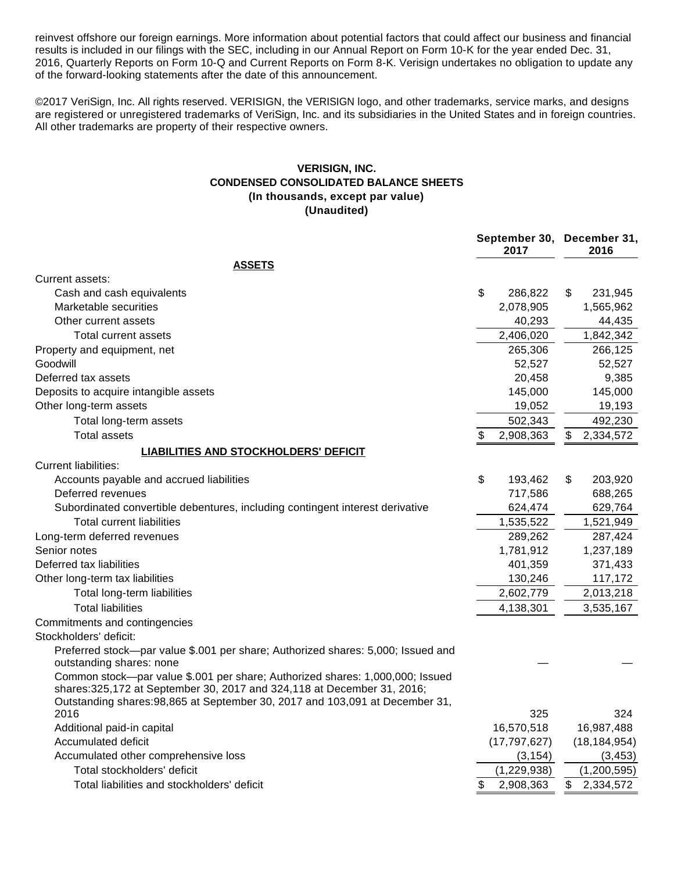reinvest offshore our foreign earnings. More information about potential factors that could affect our business and financial results is included in our filings with the SEC, including in our Annual Report on Form 10-K for the year ended Dec. 31, 2016, Quarterly Reports on Form 10-Q and Current Reports on Form 8-K. Verisign undertakes no obligation to update any of the forward-looking statements after the date of this announcement.

©2017 VeriSign, Inc. All rights reserved. VERISIGN, the VERISIGN logo, and other trademarks, service marks, and designs are registered or unregistered trademarks of VeriSign, Inc. and its subsidiaries in the United States and in foreign countries. All other trademarks are property of their respective owners.

## **VERISIGN, INC. CONDENSED CONSOLIDATED BALANCE SHEETS (In thousands, except par value) (Unaudited)**

| 2017                                                                                 |    |                              | September 30, December 31,<br>2016 |                              |
|--------------------------------------------------------------------------------------|----|------------------------------|------------------------------------|------------------------------|
| <b>ASSETS</b>                                                                        |    |                              |                                    |                              |
| Current assets:                                                                      |    |                              |                                    |                              |
| Cash and cash equivalents                                                            | \$ | 286,822                      | \$                                 | 231,945                      |
| Marketable securities                                                                |    | 2,078,905                    |                                    | 1,565,962                    |
| Other current assets                                                                 |    | 40,293                       |                                    | 44,435                       |
| Total current assets                                                                 |    | 2,406,020                    |                                    | 1,842,342                    |
| Property and equipment, net                                                          |    | 265,306                      |                                    | 266,125                      |
| Goodwill                                                                             |    | 52,527                       |                                    | 52,527                       |
| Deferred tax assets                                                                  |    | 20,458                       |                                    | 9,385                        |
| Deposits to acquire intangible assets                                                |    | 145,000                      |                                    | 145,000                      |
| Other long-term assets                                                               |    | 19,052                       |                                    | 19,193                       |
| Total long-term assets                                                               |    | 502,343                      |                                    | 492,230                      |
| <b>Total assets</b>                                                                  | \$ | 2,908,363                    |                                    | 2,334,572                    |
| <b>LIABILITIES AND STOCKHOLDERS' DEFICIT</b>                                         |    |                              |                                    |                              |
| Current liabilities:                                                                 |    |                              |                                    |                              |
| Accounts payable and accrued liabilities                                             | \$ | 193,462                      | \$                                 | 203,920                      |
| Deferred revenues                                                                    |    | 717,586                      |                                    | 688,265                      |
| Subordinated convertible debentures, including contingent interest derivative        |    | 624,474                      |                                    | 629,764                      |
| <b>Total current liabilities</b>                                                     |    | 1,535,522                    |                                    | 1,521,949                    |
| Long-term deferred revenues                                                          |    | 289,262                      |                                    | 287,424                      |
| Senior notes                                                                         |    | 1,781,912                    |                                    | 1,237,189                    |
| Deferred tax liabilities                                                             |    | 401,359                      |                                    | 371,433                      |
| Other long-term tax liabilities                                                      |    | 130,246                      |                                    | 117,172                      |
| Total long-term liabilities                                                          |    | 2,602,779                    |                                    | 2,013,218                    |
| <b>Total liabilities</b>                                                             |    | 4,138,301                    |                                    | 3,535,167                    |
| Commitments and contingencies                                                        |    |                              |                                    |                              |
| Stockholders' deficit:                                                               |    |                              |                                    |                              |
| Preferred stock--par value \$.001 per share; Authorized shares: 5,000; Issued and    |    |                              |                                    |                              |
| outstanding shares: none                                                             |    |                              |                                    |                              |
| Common stock-par value \$.001 per share; Authorized shares: 1,000,000; Issued        |    |                              |                                    |                              |
| shares: 325, 172 at September 30, 2017 and 324, 118 at December 31, 2016;            |    |                              |                                    |                              |
| Outstanding shares: 98,865 at September 30, 2017 and 103,091 at December 31,<br>2016 |    | 325                          |                                    | 324                          |
|                                                                                      |    |                              |                                    |                              |
| Additional paid-in capital<br>Accumulated deficit                                    |    | 16,570,518<br>(17, 797, 627) |                                    | 16,987,488<br>(18, 184, 954) |
| Accumulated other comprehensive loss                                                 |    | (3, 154)                     |                                    | (3, 453)                     |
| Total stockholders' deficit                                                          |    |                              |                                    |                              |
|                                                                                      |    | (1,229,938)                  |                                    | (1,200,595)                  |
| Total liabilities and stockholders' deficit                                          | \$ | 2,908,363                    | \$                                 | 2,334,572                    |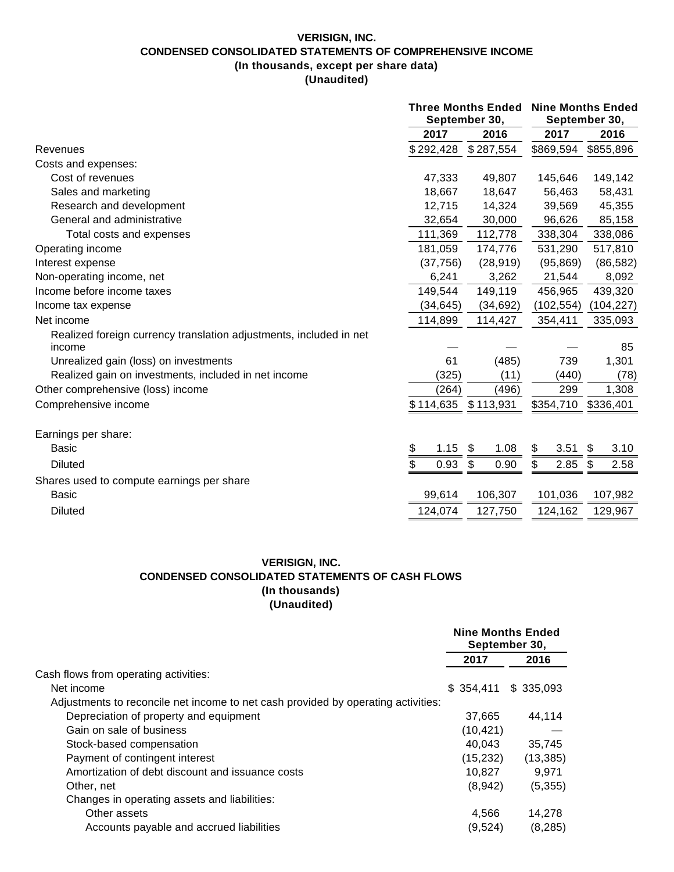## **VERISIGN, INC. CONDENSED CONSOLIDATED STATEMENTS OF COMPREHENSIVE INCOME (In thousands, except per share data) (Unaudited)**

|                                                                              |            | <b>Three Months Ended</b><br>September 30, |            | <b>Nine Months Ended</b><br>September 30, |  |
|------------------------------------------------------------------------------|------------|--------------------------------------------|------------|-------------------------------------------|--|
|                                                                              | 2017       | 2016                                       | 2017       | 2016                                      |  |
| Revenues                                                                     | \$292,428  | \$287,554                                  | \$869,594  | \$855,896                                 |  |
| Costs and expenses:                                                          |            |                                            |            |                                           |  |
| Cost of revenues                                                             | 47,333     | 49,807                                     | 145,646    | 149,142                                   |  |
| Sales and marketing                                                          | 18,667     | 18,647                                     | 56,463     | 58,431                                    |  |
| Research and development                                                     | 12,715     | 14,324                                     | 39,569     | 45,355                                    |  |
| General and administrative                                                   | 32,654     | 30,000                                     | 96,626     | 85,158                                    |  |
| Total costs and expenses                                                     | 111,369    | 112,778                                    | 338,304    | 338,086                                   |  |
| Operating income                                                             | 181,059    | 174,776                                    | 531,290    | 517,810                                   |  |
| Interest expense                                                             | (37, 756)  | (28, 919)                                  | (95, 869)  | (86, 582)                                 |  |
| Non-operating income, net                                                    | 6,241      | 3,262                                      | 21,544     | 8,092                                     |  |
| Income before income taxes                                                   | 149,544    | 149,119                                    | 456,965    | 439,320                                   |  |
| Income tax expense                                                           | (34, 645)  | (34, 692)                                  | (102, 554) | (104, 227)                                |  |
| Net income                                                                   | 114,899    | 114,427                                    | 354,411    | 335,093                                   |  |
| Realized foreign currency translation adjustments, included in net<br>income |            |                                            |            | 85                                        |  |
| Unrealized gain (loss) on investments                                        | 61         | (485)                                      | 739        | 1,301                                     |  |
| Realized gain on investments, included in net income                         | (325)      | (11)                                       | (440)      | (78)                                      |  |
| Other comprehensive (loss) income                                            | (264)      | (496)                                      | 299        | 1,308                                     |  |
| Comprehensive income                                                         | \$114,635  | \$113,931                                  | \$354,710  | \$336,401                                 |  |
| Earnings per share:                                                          |            |                                            |            |                                           |  |
| Basic                                                                        | \$<br>1.15 | 1.08<br>\$                                 | 3.51<br>\$ | 3.10<br>\$                                |  |
| <b>Diluted</b>                                                               | \$<br>0.93 | $\boldsymbol{\mathsf{S}}$<br>0.90          | \$<br>2.85 | \$<br>2.58                                |  |
| Shares used to compute earnings per share                                    |            |                                            |            |                                           |  |
| <b>Basic</b>                                                                 | 99,614     | 106,307                                    | 101,036    | 107,982                                   |  |
| <b>Diluted</b>                                                               | 124,074    | 127,750                                    | 124,162    | 129,967                                   |  |

## **VERISIGN, INC. CONDENSED CONSOLIDATED STATEMENTS OF CASH FLOWS (In thousands) (Unaudited)**

|                                                                                   | <b>Nine Months Ended</b><br>September 30, |           |  |
|-----------------------------------------------------------------------------------|-------------------------------------------|-----------|--|
|                                                                                   | 2017                                      | 2016      |  |
| Cash flows from operating activities:                                             |                                           |           |  |
| Net income                                                                        | \$354.411                                 | \$335,093 |  |
| Adjustments to reconcile net income to net cash provided by operating activities: |                                           |           |  |
| Depreciation of property and equipment                                            | 37,665                                    | 44,114    |  |
| Gain on sale of business                                                          | (10, 421)                                 |           |  |
| Stock-based compensation                                                          | 40,043                                    | 35,745    |  |
| Payment of contingent interest                                                    | (15, 232)                                 | (13, 385) |  |
| Amortization of debt discount and issuance costs                                  | 10,827                                    | 9,971     |  |
| Other, net                                                                        | (8,942)                                   | (5, 355)  |  |
| Changes in operating assets and liabilities:                                      |                                           |           |  |
| Other assets                                                                      | 4,566                                     | 14,278    |  |
| Accounts payable and accrued liabilities                                          | (9,524)                                   | (8, 285)  |  |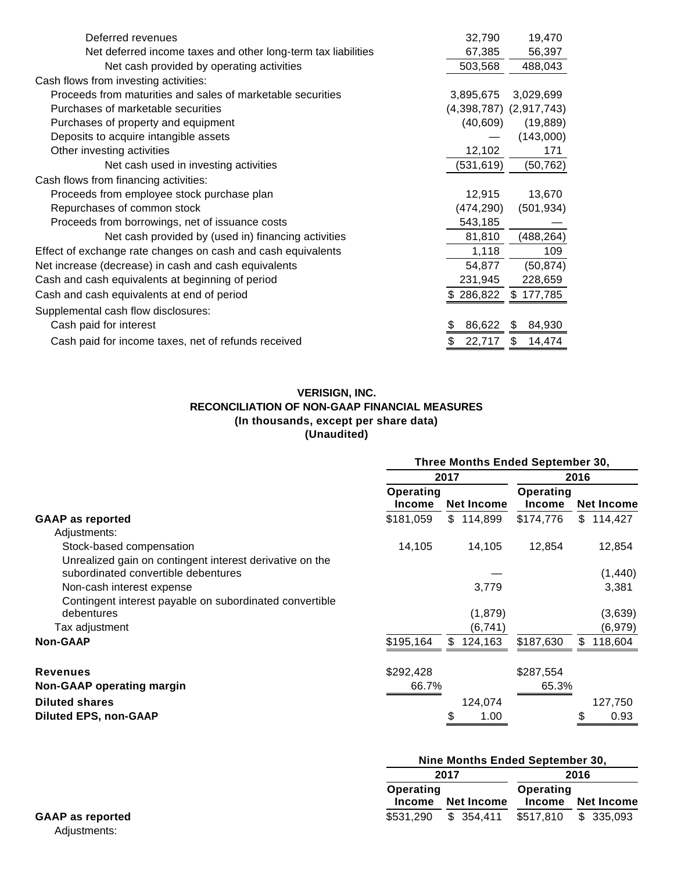| Deferred revenues                                             | 32,790       | 19,470                      |
|---------------------------------------------------------------|--------------|-----------------------------|
| Net deferred income taxes and other long-term tax liabilities | 67,385       | 56,397                      |
| Net cash provided by operating activities                     | 503,568      | 488,043                     |
| Cash flows from investing activities:                         |              |                             |
| Proceeds from maturities and sales of marketable securities   | 3,895,675    | 3,029,699                   |
| Purchases of marketable securities                            |              | $(4,398,787)$ $(2,917,743)$ |
| Purchases of property and equipment                           | (40, 609)    | (19, 889)                   |
| Deposits to acquire intangible assets                         |              | (143,000)                   |
| Other investing activities                                    | 12,102       | 171                         |
| Net cash used in investing activities                         | (531, 619)   | (50,762)                    |
| Cash flows from financing activities:                         |              |                             |
| Proceeds from employee stock purchase plan                    | 12,915       | 13,670                      |
| Repurchases of common stock                                   | (474, 290)   | (501, 934)                  |
| Proceeds from borrowings, net of issuance costs               | 543,185      |                             |
| Net cash provided by (used in) financing activities           | 81,810       | (488, 264)                  |
| Effect of exchange rate changes on cash and cash equivalents  | 1,118        | 109                         |
| Net increase (decrease) in cash and cash equivalents          | 54,877       | (50, 874)                   |
| Cash and cash equivalents at beginning of period              | 231,945      | 228,659                     |
| Cash and cash equivalents at end of period                    | \$286,822    | \$177,785                   |
| Supplemental cash flow disclosures:                           |              |                             |
| Cash paid for interest                                        | 86,622       | 84,930<br>S                 |
| Cash paid for income taxes, net of refunds received           | \$<br>22,717 | 14,474<br>S                 |

# **VERISIGN, INC. RECONCILIATION OF NON-GAAP FINANCIAL MEASURES (In thousands, except per share data) (Unaudited)**

|                                                                                                 | <b>Three Months Ended September 30,</b> |                     |                            |                    |  |  |
|-------------------------------------------------------------------------------------------------|-----------------------------------------|---------------------|----------------------------|--------------------|--|--|
|                                                                                                 |                                         | 2017                | 2016                       |                    |  |  |
|                                                                                                 | Operating<br>Income                     | <b>Net Income</b>   | Operating<br><b>Income</b> | Net Income         |  |  |
| <b>GAAP</b> as reported                                                                         | \$181,059                               | \$114,899           | \$174,776                  | \$114,427          |  |  |
| Adjustments:                                                                                    |                                         |                     |                            |                    |  |  |
| Stock-based compensation                                                                        | 14,105                                  | 14,105              | 12,854                     | 12,854             |  |  |
| Unrealized gain on contingent interest derivative on the<br>subordinated convertible debentures |                                         |                     |                            | (1,440)            |  |  |
| Non-cash interest expense                                                                       |                                         | 3,779               |                            | 3,381              |  |  |
| Contingent interest payable on subordinated convertible<br>debentures<br>Tax adjustment         |                                         | (1,879)<br>(6, 741) |                            | (3,639)<br>(6,979) |  |  |
| <b>Non-GAAP</b>                                                                                 | \$195,164                               | \$124,163           | \$187,630                  | \$118,604          |  |  |
| <b>Revenues</b>                                                                                 | \$292,428                               |                     | \$287,554                  |                    |  |  |
| <b>Non-GAAP operating margin</b>                                                                | 66.7%                                   |                     | 65.3%                      |                    |  |  |
| <b>Diluted shares</b>                                                                           |                                         | 124,074             |                            | 127,750            |  |  |
| <b>Diluted EPS, non-GAAP</b>                                                                    |                                         | 1.00                |                            | 0.93               |  |  |

|                         |               | Nine Months Ended September 30, |               |                   |  |
|-------------------------|---------------|---------------------------------|---------------|-------------------|--|
|                         |               | 2017                            | 2016          |                   |  |
|                         | Operating     |                                 | Operating     |                   |  |
|                         | <b>Income</b> | <b>Net Income</b>               | <b>Income</b> | <b>Net Income</b> |  |
| <b>GAAP as reported</b> | \$531.290     | \$354,411                       | \$517,810     | \$335,093         |  |
| Adjustments:            |               |                                 |               |                   |  |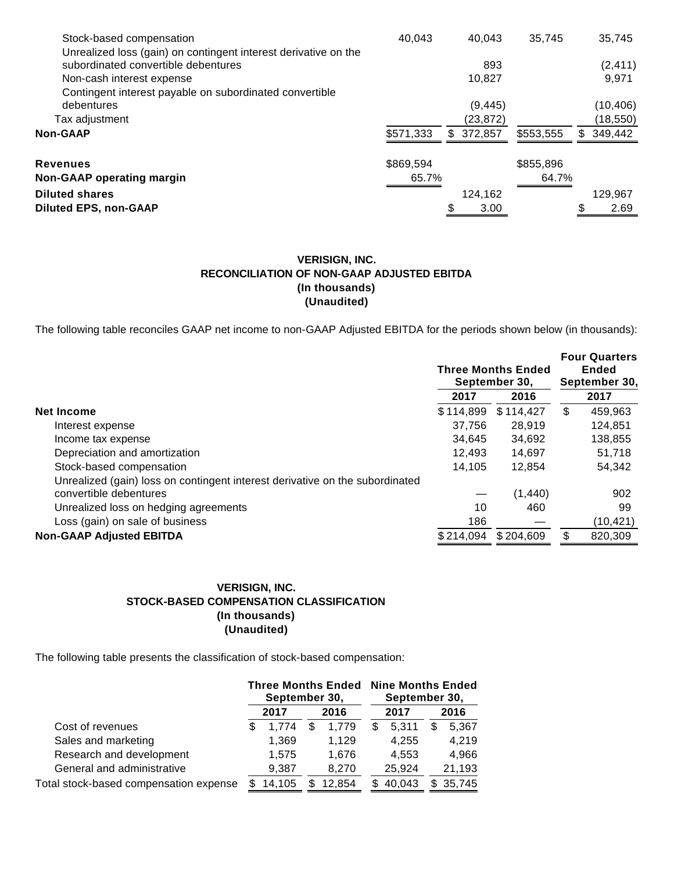| Stock-based compensation<br>Unrealized loss (gain) on contingent interest derivative on the | 40.043    | 40.043        | 35.745    |                | 35,745    |
|---------------------------------------------------------------------------------------------|-----------|---------------|-----------|----------------|-----------|
| subordinated convertible debentures                                                         |           | 893           |           |                | (2, 411)  |
| Non-cash interest expense                                                                   |           | 10,827        |           |                | 9.971     |
| Contingent interest payable on subordinated convertible                                     |           |               |           |                |           |
| debentures                                                                                  |           | (9, 445)      |           |                | (10, 406) |
| Tax adjustment                                                                              |           | (23, 872)     |           |                | (18, 550) |
| <b>Non-GAAP</b>                                                                             | \$571,333 | 372,857<br>\$ | \$553,555 | 349,442<br>\$. |           |
| Revenues                                                                                    | \$869,594 |               | \$855,896 |                |           |
| <b>Non-GAAP operating margin</b>                                                            | 65.7%     |               | 64.7%     |                |           |
| <b>Diluted shares</b>                                                                       |           | 124,162       |           | 129.967        |           |
| <b>Diluted EPS, non-GAAP</b>                                                                |           | 3.00          |           | S              | 2.69      |

## **VERISIGN, INC. RECONCILIATION OF NON-GAAP ADJUSTED EBITDA (In thousands) (Unaudited)**

The following table reconciles GAAP net income to non-GAAP Adjusted EBITDA for the periods shown below (in thousands):

|                                                                              |           | <b>Three Months Ended</b><br>September 30, | <b>Four Quarters</b><br><b>Ended</b><br>September 30, |          |  |
|------------------------------------------------------------------------------|-----------|--------------------------------------------|-------------------------------------------------------|----------|--|
|                                                                              | 2017      | 2016                                       |                                                       | 2017     |  |
| Net Income                                                                   | \$114,899 | \$114,427                                  | \$                                                    | 459.963  |  |
| Interest expense                                                             | 37,756    | 28.919                                     |                                                       | 124,851  |  |
| Income tax expense                                                           | 34,645    | 34.692                                     |                                                       | 138,855  |  |
| Depreciation and amortization                                                | 12.493    | 14.697                                     |                                                       | 51.718   |  |
| Stock-based compensation                                                     | 14.105    | 12,854                                     |                                                       | 54,342   |  |
| Unrealized (gain) loss on contingent interest derivative on the subordinated |           |                                            |                                                       |          |  |
| convertible debentures                                                       |           | (1,440)                                    |                                                       | 902      |  |
| Unrealized loss on hedging agreements                                        | 10        | 460                                        |                                                       | 99       |  |
| Loss (gain) on sale of business                                              | 186       |                                            |                                                       | (10,421) |  |
| <b>Non-GAAP Adjusted EBITDA</b>                                              | \$214.094 | \$204.609                                  |                                                       | 820,309  |  |

## **VERISIGN, INC. STOCK-BASED COMPENSATION CLASSIFICATION (In thousands) (Unaudited)**

The following table presents the classification of stock-based compensation:

|                                        | <b>Three Months Ended</b><br>September 30, |              |     | <b>Nine Months Ended</b><br>September 30, |      |        |      |        |
|----------------------------------------|--------------------------------------------|--------------|-----|-------------------------------------------|------|--------|------|--------|
|                                        |                                            | 2017<br>2016 |     |                                           | 2017 |        | 2016 |        |
| Cost of revenues                       | S                                          | 1.774        | \$. | 1.779                                     | S    | 5.311  |      | 5,367  |
| Sales and marketing                    |                                            | 1,369        |     | 1.129                                     |      | 4,255  |      | 4,219  |
| Research and development               |                                            | 1,575        |     | 1.676                                     |      | 4,553  |      | 4,966  |
| General and administrative             |                                            | 9,387        |     | 8.270                                     |      | 25,924 |      | 21,193 |
| Total stock-based compensation expense |                                            | 14,105       | S   | 12.854                                    | S.   | 40.043 |      | 35,745 |